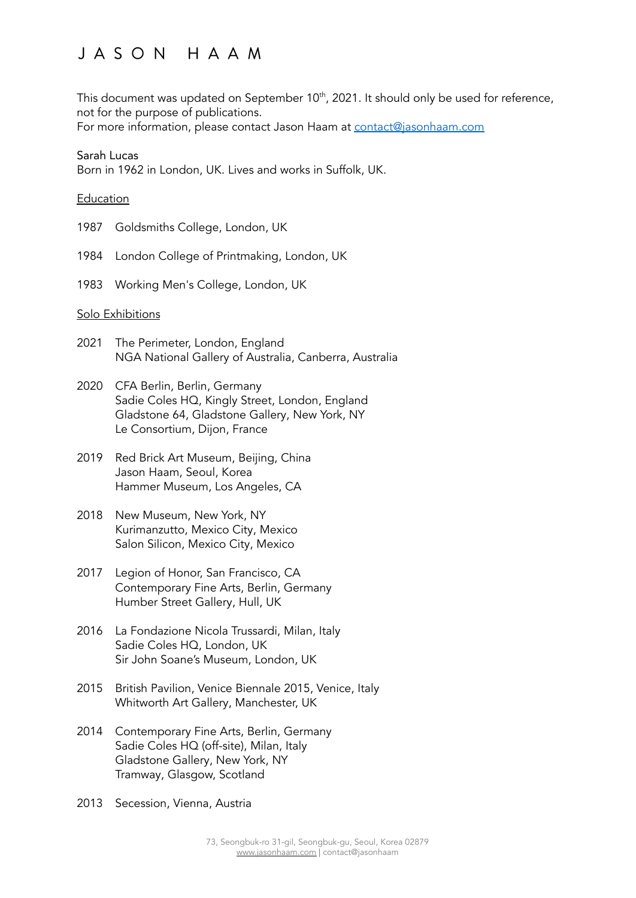This document was updated on September 10 $^{\rm th}$ , 2021. It should only be used for reference, not for the purpose of publications.

For more information, please contact Jason Haam at [contact@jasonhaam.com](mailto:contact@jasonhaam.com)

#### Sarah Lucas

Born in 1962 in London, UK. Lives and works in Suffolk, UK.

#### Education

- 1987 Goldsmiths College, London, UK
- 1984 London College of Printmaking, London, UK
- 1983 Working Men's College, London, UK

#### Solo Exhibitions

- 2021 The Perimeter, London, England NGA National Gallery of Australia, Canberra, Australia
- 2020 CFA Berlin, Berlin, Germany Sadie Coles HQ, Kingly Street, London, England Gladstone 64, Gladstone Gallery, New York, NY Le Consortium, Dijon, France
- 2019 Red Brick Art Museum, Beijing, China Jason Haam, Seoul, Korea Hammer Museum, Los Angeles, CA
- 2018 New Museum, New York, NY Kurimanzutto, Mexico City, Mexico Salon Silicon, Mexico City, Mexico
- 2017 Legion of Honor, San Francisco, CA Contemporary Fine Arts, Berlin, Germany Humber Street Gallery, Hull, UK
- 2016 La Fondazione Nicola Trussardi, Milan, Italy Sadie Coles HQ, London, UK Sir John Soane's Museum, London, UK
- 2015 British Pavilion, Venice Biennale 2015, Venice, Italy Whitworth Art Gallery, Manchester, UK
- 2014 Contemporary Fine Arts, Berlin, Germany Sadie Coles HQ (off-site), Milan, Italy Gladstone Gallery, New York, NY Tramway, Glasgow, Scotland
- 2013 Secession, Vienna, Austria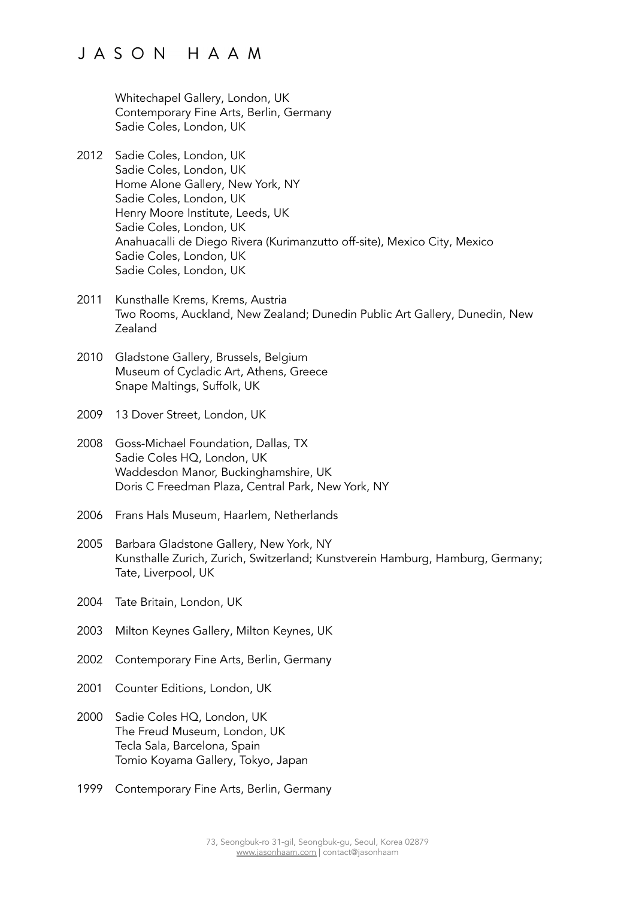Whitechapel Gallery, London, UK Contemporary Fine Arts, Berlin, Germany Sadie Coles, London, UK

- 2012 Sadie Coles, London, UK Sadie Coles, London, UK Home Alone Gallery, New York, NY Sadie Coles, London, UK Henry Moore Institute, Leeds, UK Sadie Coles, London, UK Anahuacalli de Diego Rivera (Kurimanzutto off-site), Mexico City, Mexico Sadie Coles, London, UK Sadie Coles, London, UK
- 2011 Kunsthalle Krems, Krems, Austria Two Rooms, Auckland, New Zealand; Dunedin Public Art Gallery, Dunedin, New Zealand
- 2010 Gladstone Gallery, Brussels, Belgium Museum of Cycladic Art, Athens, Greece Snape Maltings, Suffolk, UK
- 2009 13 Dover Street, London, UK
- 2008 Goss-Michael Foundation, Dallas, TX Sadie Coles HQ, London, UK Waddesdon Manor, Buckinghamshire, UK Doris C Freedman Plaza, Central Park, New York, NY
- 2006 Frans Hals Museum, Haarlem, Netherlands
- 2005 Barbara Gladstone Gallery, New York, NY Kunsthalle Zurich, Zurich, Switzerland; Kunstverein Hamburg, Hamburg, Germany; Tate, Liverpool, UK
- 2004 Tate Britain, London, UK
- 2003 Milton Keynes Gallery, Milton Keynes, UK
- 2002 Contemporary Fine Arts, Berlin, Germany
- 2001 Counter Editions, London, UK
- 2000 Sadie Coles HQ, London, UK The Freud Museum, London, UK Tecla Sala, Barcelona, Spain Tomio Koyama Gallery, Tokyo, Japan
- 1999 Contemporary Fine Arts, Berlin, Germany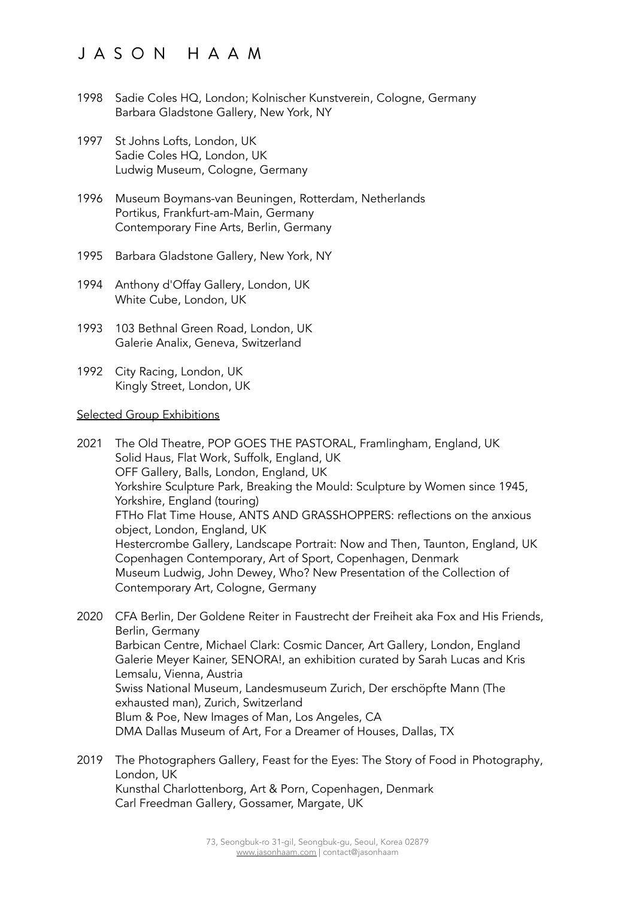- 1998 Sadie Coles HQ, London; Kolnischer Kunstverein, Cologne, Germany Barbara Gladstone Gallery, New York, NY
- 1997 St Johns Lofts, London, UK Sadie Coles HQ, London, UK Ludwig Museum, Cologne, Germany
- 1996 Museum Boymans-van Beuningen, Rotterdam, Netherlands Portikus, Frankfurt-am-Main, Germany Contemporary Fine Arts, Berlin, Germany
- 1995 Barbara Gladstone Gallery, New York, NY
- 1994 Anthony d'Offay Gallery, London, UK White Cube, London, UK
- 1993 103 Bethnal Green Road, London, UK Galerie Analix, Geneva, Switzerland
- 1992 City Racing, London, UK Kingly Street, London, UK

#### Selected Group Exhibitions

- 2021 The Old Theatre, POP GOES THE PASTORAL, Framlingham, England, UK Solid Haus, Flat Work, Suffolk, England, UK OFF Gallery, Balls, London, England, UK Yorkshire Sculpture Park, Breaking the Mould: Sculpture by Women since 1945, Yorkshire, England (touring) FTHo Flat Time House, ANTS AND GRASSHOPPERS: reflections on the anxious object, London, England, UK Hestercrombe Gallery, Landscape Portrait: Now and Then, Taunton, England, UK Copenhagen Contemporary, Art of Sport, Copenhagen, Denmark Museum Ludwig, John Dewey, Who? New Presentation of the Collection of Contemporary Art, Cologne, Germany
- 2020 CFA Berlin, Der Goldene Reiter in Faustrecht der Freiheit aka Fox and His Friends, Berlin, Germany Barbican Centre, Michael Clark: Cosmic Dancer, Art Gallery, London, England Galerie Meyer Kainer, SENORA!, an exhibition curated by Sarah Lucas and Kris Lemsalu, Vienna, Austria Swiss National Museum, Landesmuseum Zurich, Der erschöpfte Mann (The exhausted man), Zurich, Switzerland Blum & Poe, New Images of Man, Los Angeles, CA DMA Dallas Museum of Art, For a Dreamer of Houses, Dallas, TX
- 2019 The Photographers Gallery, Feast for the Eyes: The Story of Food in Photography, London, UK Kunsthal Charlottenborg, Art & Porn, Copenhagen, Denmark Carl Freedman Gallery, Gossamer, Margate, UK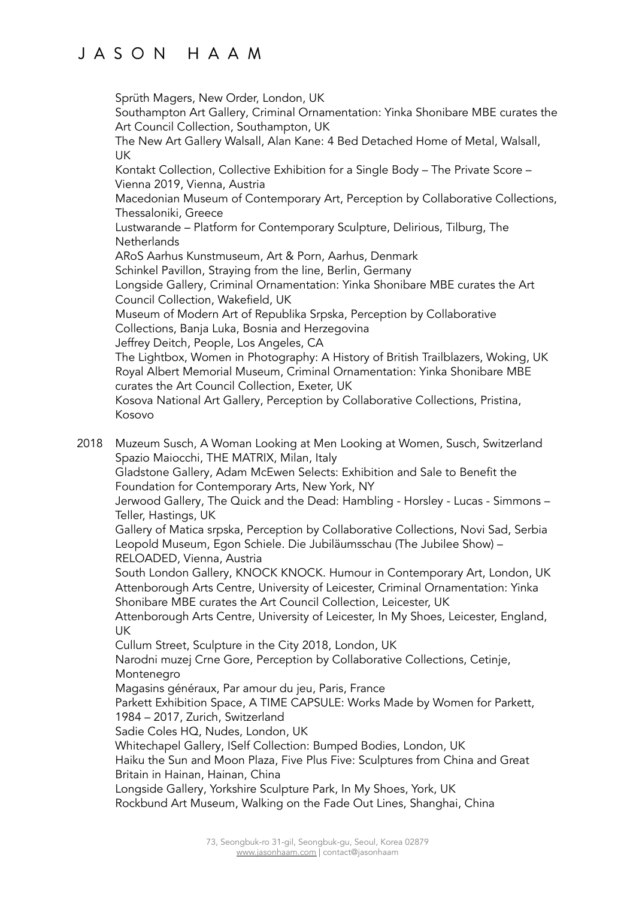Sprüth Magers, New Order, London, UK

Southampton Art Gallery, Criminal Ornamentation: Yinka Shonibare MBE curates the Art Council Collection, Southampton, UK

The New Art Gallery Walsall, Alan Kane: 4 Bed Detached Home of Metal, Walsall, UK

Kontakt Collection, Collective Exhibition for a Single Body – The Private Score – Vienna 2019, Vienna, Austria

Macedonian Museum of Contemporary Art, Perception by Collaborative Collections, Thessaloniki, Greece

Lustwarande – Platform for Contemporary Sculpture, Delirious, Tilburg, The **Netherlands** 

ARoS Aarhus Kunstmuseum, Art & Porn, Aarhus, Denmark

Schinkel Pavillon, Straying from the line, Berlin, Germany

Longside Gallery, Criminal Ornamentation: Yinka Shonibare MBE curates the Art Council Collection, Wakefield, UK

Museum of Modern Art of Republika Srpska, Perception by Collaborative Collections, Banja Luka, Bosnia and Herzegovina

Jeffrey Deitch, People, Los Angeles, CA

The Lightbox, Women in Photography: A History of British Trailblazers, Woking, UK Royal Albert Memorial Museum, Criminal Ornamentation: Yinka Shonibare MBE curates the Art Council Collection, Exeter, UK

Kosova National Art Gallery, Perception by Collaborative Collections, Pristina, Kosovo

2018 Muzeum Susch, A Woman Looking at Men Looking at Women, Susch, Switzerland Spazio Maiocchi, THE MATRIX, Milan, Italy

Gladstone Gallery, Adam McEwen Selects: Exhibition and Sale to Benefit the Foundation for Contemporary Arts, New York, NY

Jerwood Gallery, The Quick and the Dead: Hambling - Horsley - Lucas - Simmons – Teller, Hastings, UK

Gallery of Matica srpska, Perception by Collaborative Collections, Novi Sad, Serbia Leopold Museum, Egon Schiele. Die Jubiläumsschau (The Jubilee Show) – RELOADED, Vienna, Austria

South London Gallery, KNOCK KNOCK. Humour in Contemporary Art, London, UK Attenborough Arts Centre, University of Leicester, Criminal Ornamentation: Yinka Shonibare MBE curates the Art Council Collection, Leicester, UK

Attenborough Arts Centre, University of Leicester, In My Shoes, Leicester, England, UK

Cullum Street, Sculpture in the City 2018, London, UK

Narodni muzej Crne Gore, Perception by Collaborative Collections, Cetinje, Montenegro

Magasins généraux, Par amour du jeu, Paris, France

Parkett Exhibition Space, A TIME CAPSULE: Works Made by Women for Parkett, 1984 – 2017, Zurich, Switzerland

Sadie Coles HQ, Nudes, London, UK

Whitechapel Gallery, ISelf Collection: Bumped Bodies, London, UK

Haiku the Sun and Moon Plaza, Five Plus Five: Sculptures from China and Great Britain in Hainan, Hainan, China

Longside Gallery, Yorkshire Sculpture Park, In My Shoes, York, UK

Rockbund Art Museum, Walking on the Fade Out Lines, Shanghai, China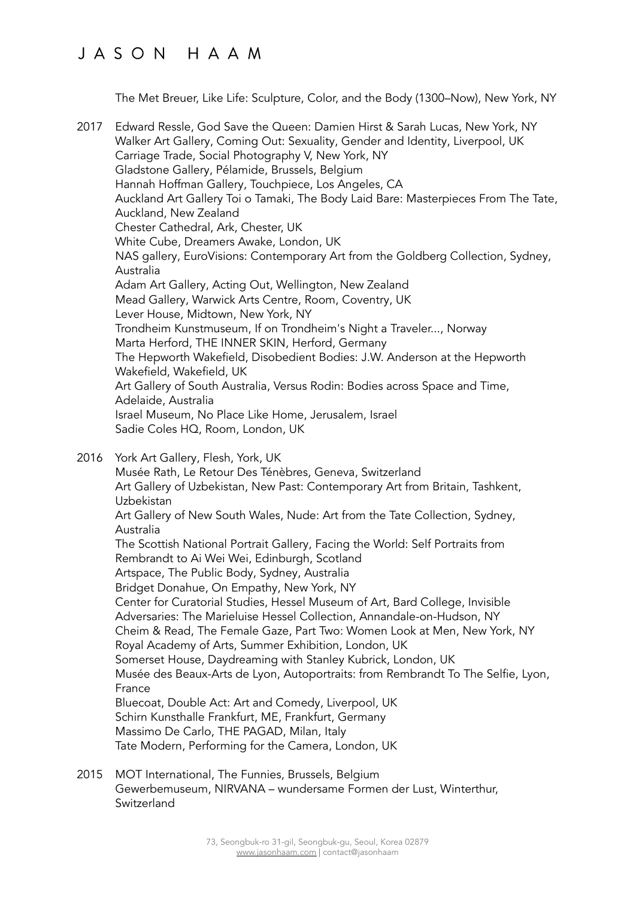The Met Breuer, Like Life: Sculpture, Color, and the Body (1300–Now), New York, NY

- 2017 Edward Ressle, God Save the Queen: Damien Hirst & Sarah Lucas, New York, NY Walker Art Gallery, Coming Out: Sexuality, Gender and Identity, Liverpool, UK Carriage Trade, Social Photography V, New York, NY Gladstone Gallery, Pélamide, Brussels, Belgium Hannah Hoffman Gallery, Touchpiece, Los Angeles, CA Auckland Art Gallery Toi o Tamaki, The Body Laid Bare: Masterpieces From The Tate, Auckland, New Zealand Chester Cathedral, Ark, Chester, UK White Cube, Dreamers Awake, London, UK NAS gallery, EuroVisions: Contemporary Art from the Goldberg Collection, Sydney, Australia Adam Art Gallery, Acting Out, Wellington, New Zealand Mead Gallery, Warwick Arts Centre, Room, Coventry, UK Lever House, Midtown, New York, NY Trondheim Kunstmuseum, If on Trondheim's Night a Traveler..., Norway Marta Herford, THE INNER SKIN, Herford, Germany The Hepworth Wakefield, Disobedient Bodies: J.W. Anderson at the Hepworth Wakefield, Wakefield, UK Art Gallery of South Australia, Versus Rodin: Bodies across Space and Time, Adelaide, Australia Israel Museum, No Place Like Home, Jerusalem, Israel Sadie Coles HQ, Room, London, UK
- 2016 York Art Gallery, Flesh, York, UK

Musée Rath, Le Retour Des Ténèbres, Geneva, Switzerland Art Gallery of Uzbekistan, New Past: Contemporary Art from Britain, Tashkent, Uzbekistan Art Gallery of New South Wales, Nude: Art from the Tate Collection, Sydney, Australia The Scottish National Portrait Gallery, Facing the World: Self Portraits from Rembrandt to Ai Wei Wei, Edinburgh, Scotland Artspace, The Public Body, Sydney, Australia Bridget Donahue, On Empathy, New York, NY Center for Curatorial Studies, Hessel Museum of Art, Bard College, Invisible Adversaries: The Marieluise Hessel Collection, Annandale-on-Hudson, NY Cheim & Read, The Female Gaze, Part Two: Women Look at Men, New York, NY Royal Academy of Arts, Summer Exhibition, London, UK Somerset House, Daydreaming with Stanley Kubrick, London, UK Musée des Beaux-Arts de Lyon, Autoportraits: from Rembrandt To The Selfie, Lyon, France Bluecoat, Double Act: Art and Comedy, Liverpool, UK Schirn Kunsthalle Frankfurt, ME, Frankfurt, Germany Massimo De Carlo, THE PAGAD, Milan, Italy Tate Modern, Performing for the Camera, London, UK

2015 MOT International, The Funnies, Brussels, Belgium Gewerbemuseum, NIRVANA – wundersame Formen der Lust, Winterthur, Switzerland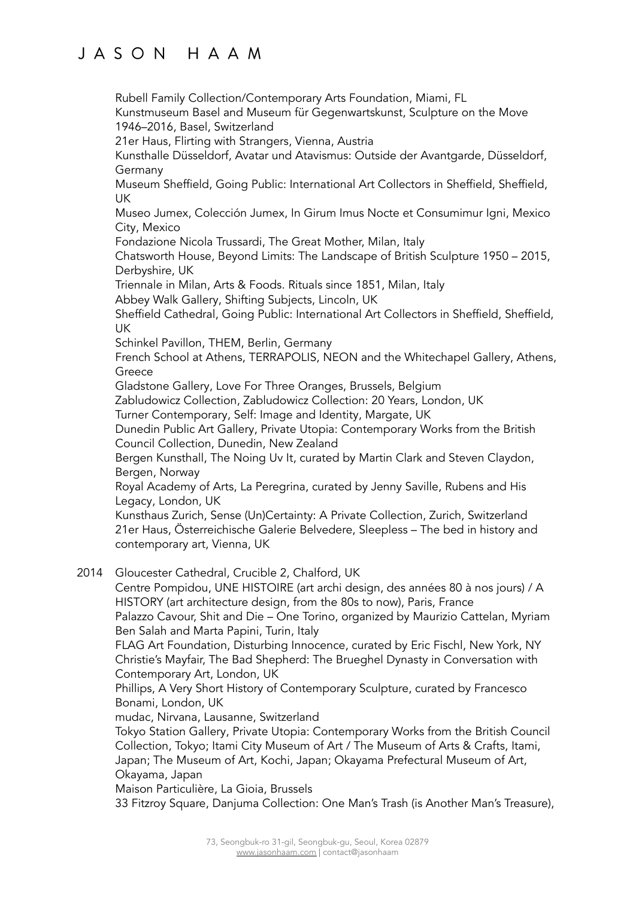Rubell Family Collection/Contemporary Arts Foundation, Miami, FL

Kunstmuseum Basel and Museum für Gegenwartskunst, Sculpture on the Move 1946–2016, Basel, Switzerland

21er Haus, Flirting with Strangers, Vienna, Austria

Kunsthalle Düsseldorf, Avatar und Atavismus: Outside der Avantgarde, Düsseldorf, Germany

Museum Sheffield, Going Public: International Art Collectors in Sheffield, Sheffield, UK

Museo Jumex, Colección Jumex, In Girum Imus Nocte et Consumimur Igni, Mexico City, Mexico

Fondazione Nicola Trussardi, The Great Mother, Milan, Italy

Chatsworth House, Beyond Limits: The Landscape of British Sculpture 1950 – 2015, Derbyshire, UK

Triennale in Milan, Arts & Foods. Rituals since 1851, Milan, Italy

Abbey Walk Gallery, Shifting Subjects, Lincoln, UK

Sheffield Cathedral, Going Public: International Art Collectors in Sheffield, Sheffield, UK

Schinkel Pavillon, THEM, Berlin, Germany

French School at Athens, TERRAPOLIS, NEON and the Whitechapel Gallery, Athens, **Greece** 

Gladstone Gallery, Love For Three Oranges, Brussels, Belgium

Zabludowicz Collection, Zabludowicz Collection: 20 Years, London, UK

Turner Contemporary, Self: Image and Identity, Margate, UK

Dunedin Public Art Gallery, Private Utopia: Contemporary Works from the British Council Collection, Dunedin, New Zealand

Bergen Kunsthall, The Noing Uv It, curated by Martin Clark and Steven Claydon, Bergen, Norway

Royal Academy of Arts, La Peregrina, curated by Jenny Saville, Rubens and His Legacy, London, UK

Kunsthaus Zurich, Sense (Un)Certainty: A Private Collection, Zurich, Switzerland 21er Haus, Österreichische Galerie Belvedere, Sleepless – The bed in history and contemporary art, Vienna, UK

2014 Gloucester Cathedral, Crucible 2, Chalford, UK

Centre Pompidou, UNE HISTOIRE (art archi design, des années 80 à nos jours) / A HISTORY (art architecture design, from the 80s to now), Paris, France Palazzo Cavour, Shit and Die – One Torino, organized by Maurizio Cattelan, Myriam Ben Salah and Marta Papini, Turin, Italy

FLAG Art Foundation, Disturbing Innocence, curated by Eric Fischl, New York, NY Christie's Mayfair, The Bad Shepherd: The Brueghel Dynasty in Conversation with Contemporary Art, London, UK

Phillips, A Very Short History of Contemporary Sculpture, curated by Francesco Bonami, London, UK

mudac, Nirvana, Lausanne, Switzerland

Tokyo Station Gallery, Private Utopia: Contemporary Works from the British Council Collection, Tokyo; Itami City Museum of Art / The Museum of Arts & Crafts, Itami, Japan; The Museum of Art, Kochi, Japan; Okayama Prefectural Museum of Art, Okayama, Japan

Maison Particulière, La Gioia, Brussels

33 Fitzroy Square, Danjuma Collection: One Man's Trash (is Another Man's Treasure),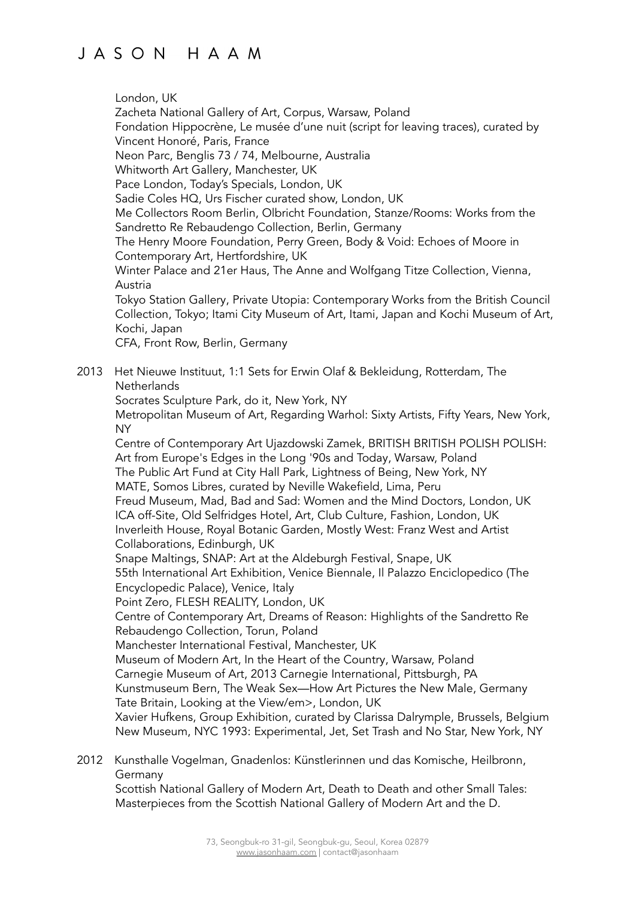London, UK

Zacheta National Gallery of Art, Corpus, Warsaw, Poland Fondation Hippocrène, Le musée d'une nuit (script for leaving traces), curated by Vincent Honoré, Paris, France Neon Parc, Benglis 73 / 74, Melbourne, Australia Whitworth Art Gallery, Manchester, UK Pace London, Today's Specials, London, UK Sadie Coles HQ, Urs Fischer curated show, London, UK Me Collectors Room Berlin, Olbricht Foundation, Stanze/Rooms: Works from the Sandretto Re Rebaudengo Collection, Berlin, Germany The Henry Moore Foundation, Perry Green, Body & Void: Echoes of Moore in Contemporary Art, Hertfordshire, UK Winter Palace and 21er Haus, The Anne and Wolfgang Titze Collection, Vienna, Austria Tokyo Station Gallery, Private Utopia: Contemporary Works from the British Council Collection, Tokyo; Itami City Museum of Art, Itami, Japan and Kochi Museum of Art, Kochi, Japan CFA, Front Row, Berlin, Germany 2013 Het Nieuwe Instituut, 1:1 Sets for Erwin Olaf & Bekleidung, Rotterdam, The **Netherlands** Socrates Sculpture Park, do it, New York, NY Metropolitan Museum of Art, Regarding Warhol: Sixty Artists, Fifty Years, New York, NY Centre of Contemporary Art Ujazdowski Zamek, BRITISH BRITISH POLISH POLISH: Art from Europe's Edges in the Long '90s and Today, Warsaw, Poland The Public Art Fund at City Hall Park, Lightness of Being, New York, NY MATE, Somos Libres, curated by Neville Wakefield, Lima, Peru Freud Museum, Mad, Bad and Sad: Women and the Mind Doctors, London, UK ICA off-Site, Old Selfridges Hotel, Art, Club Culture, Fashion, London, UK Inverleith House, Royal Botanic Garden, Mostly West: Franz West and Artist Collaborations, Edinburgh, UK Snape Maltings, SNAP: Art at the Aldeburgh Festival, Snape, UK 55th International Art Exhibition, Venice Biennale, Il Palazzo Enciclopedico (The Encyclopedic Palace), Venice, Italy Point Zero, FLESH REALITY, London, UK Centre of Contemporary Art, Dreams of Reason: Highlights of the Sandretto Re Rebaudengo Collection, Torun, Poland Manchester International Festival, Manchester, UK Museum of Modern Art, In the Heart of the Country, Warsaw, Poland Carnegie Museum of Art, 2013 Carnegie International, Pittsburgh, PA Kunstmuseum Bern, The Weak Sex—How Art Pictures the New Male, Germany Tate Britain, Looking at the View/em>, London, UK Xavier Hufkens, Group Exhibition, curated by Clarissa Dalrymple, Brussels, Belgium New Museum, NYC 1993: Experimental, Jet, Set Trash and No Star, New York, NY

2012 Kunsthalle Vogelman, Gnadenlos: Künstlerinnen und das Komische, Heilbronn, Germany

Scottish National Gallery of Modern Art, Death to Death and other Small Tales: Masterpieces from the Scottish National Gallery of Modern Art and the D.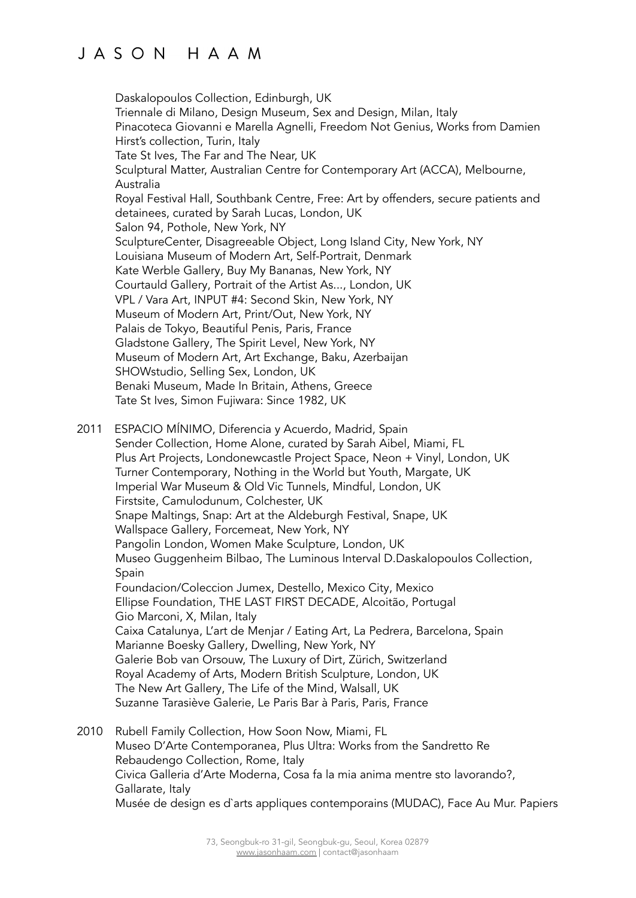Daskalopoulos Collection, Edinburgh, UK Triennale di Milano, Design Museum, Sex and Design, Milan, Italy Pinacoteca Giovanni e Marella Agnelli, Freedom Not Genius, Works from Damien Hirst's collection, Turin, Italy Tate St Ives, The Far and The Near, UK Sculptural Matter, Australian Centre for Contemporary Art (ACCA), Melbourne, Australia Royal Festival Hall, Southbank Centre, Free: Art by offenders, secure patients and detainees, curated by Sarah Lucas, London, UK Salon 94, Pothole, New York, NY SculptureCenter, Disagreeable Object, Long Island City, New York, NY Louisiana Museum of Modern Art, Self-Portrait, Denmark Kate Werble Gallery, Buy My Bananas, New York, NY Courtauld Gallery, Portrait of the Artist As..., London, UK VPL / Vara Art, INPUT #4: Second Skin, New York, NY Museum of Modern Art, Print/Out, New York, NY Palais de Tokyo, Beautiful Penis, Paris, France Gladstone Gallery, The Spirit Level, New York, NY Museum of Modern Art, Art Exchange, Baku, Azerbaijan SHOWstudio, Selling Sex, London, UK Benaki Museum, Made In Britain, Athens, Greece Tate St Ives, Simon Fujiwara: Since 1982, UK 2011 ESPACIO MÍNIMO, Diferencia y Acuerdo, Madrid, Spain Sender Collection, Home Alone, curated by Sarah Aibel, Miami, FL Plus Art Projects, Londonewcastle Project Space, Neon + Vinyl, London, UK Turner Contemporary, Nothing in the World but Youth, Margate, UK Imperial War Museum & Old Vic Tunnels, Mindful, London, UK Firstsite, Camulodunum, Colchester, UK Snape Maltings, Snap: Art at the Aldeburgh Festival, Snape, UK Wallspace Gallery, Forcemeat, New York, NY Pangolin London, Women Make Sculpture, London, UK Museo Guggenheim Bilbao, The Luminous Interval D.Daskalopoulos Collection, Spain Foundacion/Coleccion Jumex, Destello, Mexico City, Mexico Ellipse Foundation, THE LAST FIRST DECADE, Alcoitão, Portugal

Gio Marconi, X, Milan, Italy Caixa Catalunya, L'art de Menjar / Eating Art, La Pedrera, Barcelona, Spain Marianne Boesky Gallery, Dwelling, New York, NY Galerie Bob van Orsouw, The Luxury of Dirt, Zürich, Switzerland Royal Academy of Arts, Modern British Sculpture, London, UK The New Art Gallery, The Life of the Mind, Walsall, UK Suzanne Tarasiève Galerie, Le Paris Bar à Paris, Paris, France

2010 Rubell Family Collection, How Soon Now, Miami, FL Museo D'Arte Contemporanea, Plus Ultra: Works from the Sandretto Re Rebaudengo Collection, Rome, Italy Civica Galleria d'Arte Moderna, Cosa fa la mia anima mentre sto lavorando?, Gallarate, Italy Musée de design es d`arts appliques contemporains (MUDAC), Face Au Mur. Papiers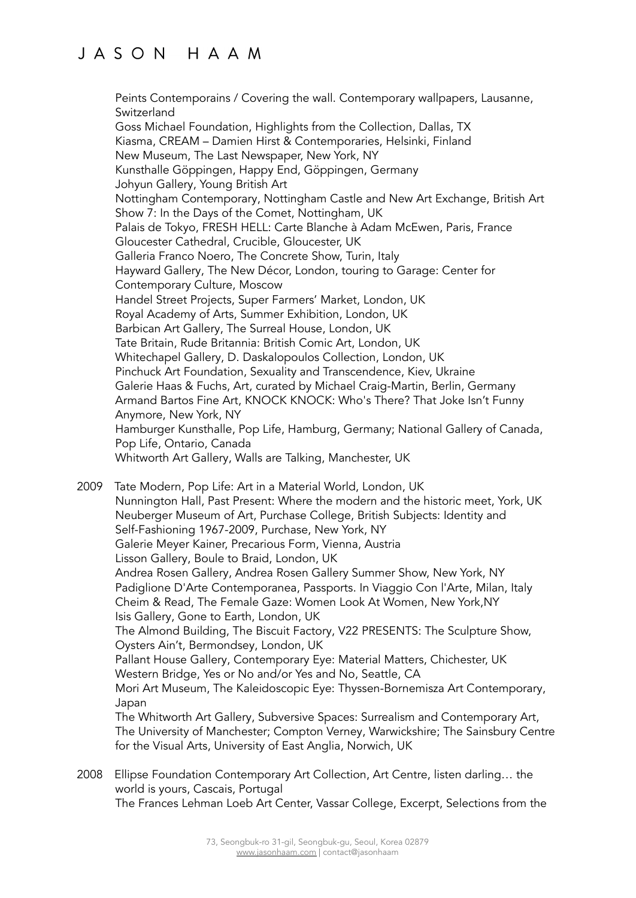Peints Contemporains / Covering the wall. Contemporary wallpapers, Lausanne, Switzerland Goss Michael Foundation, Highlights from the Collection, Dallas, TX Kiasma, CREAM – Damien Hirst & Contemporaries, Helsinki, Finland New Museum, The Last Newspaper, New York, NY Kunsthalle Göppingen, Happy End, Göppingen, Germany Johyun Gallery, Young British Art Nottingham Contemporary, Nottingham Castle and New Art Exchange, British Art Show 7: In the Days of the Comet, Nottingham, UK Palais de Tokyo, FRESH HELL: Carte Blanche à Adam McEwen, Paris, France Gloucester Cathedral, Crucible, Gloucester, UK Galleria Franco Noero, The Concrete Show, Turin, Italy Hayward Gallery, The New Décor, London, touring to Garage: Center for Contemporary Culture, Moscow Handel Street Projects, Super Farmers' Market, London, UK Royal Academy of Arts, Summer Exhibition, London, UK Barbican Art Gallery, The Surreal House, London, UK Tate Britain, Rude Britannia: British Comic Art, London, UK Whitechapel Gallery, D. Daskalopoulos Collection, London, UK Pinchuck Art Foundation, Sexuality and Transcendence, Kiev, Ukraine Galerie Haas & Fuchs, Art, curated by Michael Craig-Martin, Berlin, Germany Armand Bartos Fine Art, KNOCK KNOCK: Who's There? That Joke Isn't Funny Anymore, New York, NY Hamburger Kunsthalle, Pop Life, Hamburg, Germany; National Gallery of Canada, Pop Life, Ontario, Canada Whitworth Art Gallery, Walls are Talking, Manchester, UK

2009 Tate Modern, Pop Life: Art in a Material World, London, UK Nunnington Hall, Past Present: Where the modern and the historic meet, York, UK Neuberger Museum of Art, Purchase College, British Subjects: Identity and Self-Fashioning 1967-2009, Purchase, New York, NY Galerie Meyer Kainer, Precarious Form, Vienna, Austria Lisson Gallery, Boule to Braid, London, UK Andrea Rosen Gallery, Andrea Rosen Gallery Summer Show, New York, NY Padiglione D'Arte Contemporanea, Passports. In Viaggio Con l'Arte, Milan, Italy Cheim & Read, The Female Gaze: Women Look At Women, New York,NY Isis Gallery, Gone to Earth, London, UK The Almond Building, The Biscuit Factory, V22 PRESENTS: The Sculpture Show, Oysters Ain't, Bermondsey, London, UK Pallant House Gallery, Contemporary Eye: Material Matters, Chichester, UK Western Bridge, Yes or No and/or Yes and No, Seattle, CA Mori Art Museum, The Kaleidoscopic Eye: Thyssen-Bornemisza Art Contemporary, Japan The Whitworth Art Gallery, Subversive Spaces: Surrealism and Contemporary Art, The University of Manchester; Compton Verney, Warwickshire; The Sainsbury Centre for the Visual Arts, University of East Anglia, Norwich, UK

2008 Ellipse Foundation Contemporary Art Collection, Art Centre, listen darling… the world is yours, Cascais, Portugal The Frances Lehman Loeb Art Center, Vassar College, Excerpt, Selections from the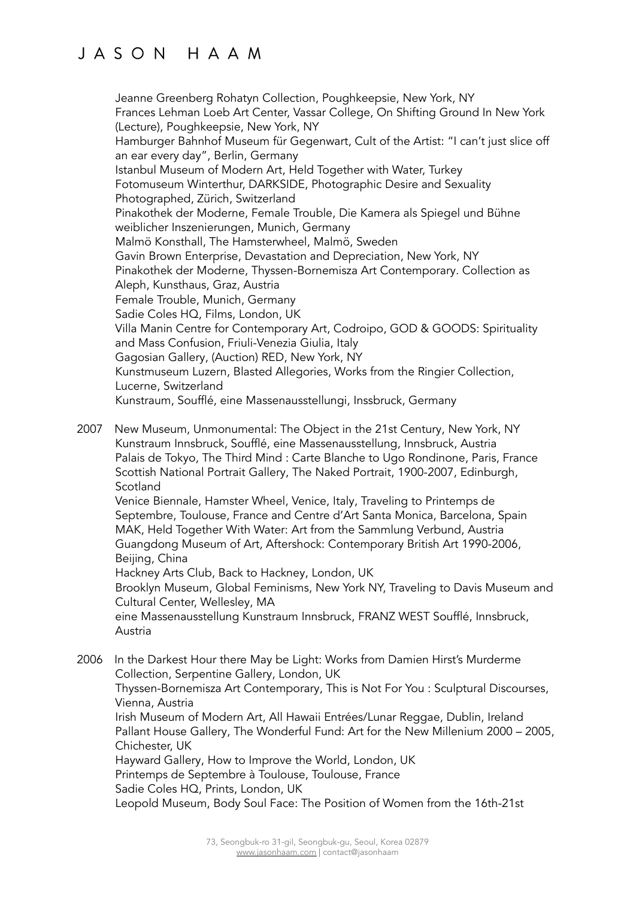Jeanne Greenberg Rohatyn Collection, Poughkeepsie, New York, NY Frances Lehman Loeb Art Center, Vassar College, On Shifting Ground In New York (Lecture), Poughkeepsie, New York, NY Hamburger Bahnhof Museum für Gegenwart, Cult of the Artist: "I can't just slice off an ear every day", Berlin, Germany Istanbul Museum of Modern Art, Held Together with Water, Turkey Fotomuseum Winterthur, DARKSIDE, Photographic Desire and Sexuality Photographed, Zürich, Switzerland Pinakothek der Moderne, Female Trouble, Die Kamera als Spiegel und Bühne weiblicher Inszenierungen, Munich, Germany Malmö Konsthall, The Hamsterwheel, Malmö, Sweden Gavin Brown Enterprise, Devastation and Depreciation, New York, NY Pinakothek der Moderne, Thyssen-Bornemisza Art Contemporary. Collection as Aleph, Kunsthaus, Graz, Austria Female Trouble, Munich, Germany Sadie Coles HQ, Films, London, UK Villa Manin Centre for Contemporary Art, Codroipo, GOD & GOODS: Spirituality and Mass Confusion, Friuli-Venezia Giulia, Italy Gagosian Gallery, (Auction) RED, New York, NY Kunstmuseum Luzern, Blasted Allegories, Works from the Ringier Collection, Lucerne, Switzerland Kunstraum, Soufflé, eine Massenausstellungi, Inssbruck, Germany

2007 New Museum, Unmonumental: The Object in the 21st Century, New York, NY Kunstraum Innsbruck, Soufflé, eine Massenausstellung, Innsbruck, Austria Palais de Tokyo, The Third Mind : Carte Blanche to Ugo Rondinone, Paris, France Scottish National Portrait Gallery, The Naked Portrait, 1900-2007, Edinburgh, **Scotland** Venice Biennale, Hamster Wheel, Venice, Italy, Traveling to Printemps de Septembre, Toulouse, France and Centre d'Art Santa Monica, Barcelona, Spain

MAK, Held Together With Water: Art from the Sammlung Verbund, Austria Guangdong Museum of Art, Aftershock: Contemporary British Art 1990-2006, Beijing, China

Hackney Arts Club, Back to Hackney, London, UK

Brooklyn Museum, Global Feminisms, New York NY, Traveling to Davis Museum and Cultural Center, Wellesley, MA

eine Massenausstellung Kunstraum Innsbruck, FRANZ WEST Soufflé, Innsbruck, Austria

2006 In the Darkest Hour there May be Light: Works from Damien Hirst's Murderme Collection, Serpentine Gallery, London, UK Thyssen-Bornemisza Art Contemporary, This is Not For You : Sculptural Discourses, Vienna, Austria Irish Museum of Modern Art, All Hawaii Entrées/Lunar Reggae, Dublin, Ireland Pallant House Gallery, The Wonderful Fund: Art for the New Millenium 2000 – 2005, Chichester, UK Hayward Gallery, How to Improve the World, London, UK Printemps de Septembre à Toulouse, Toulouse, France Sadie Coles HQ, Prints, London, UK Leopold Museum, Body Soul Face: The Position of Women from the 16th-21st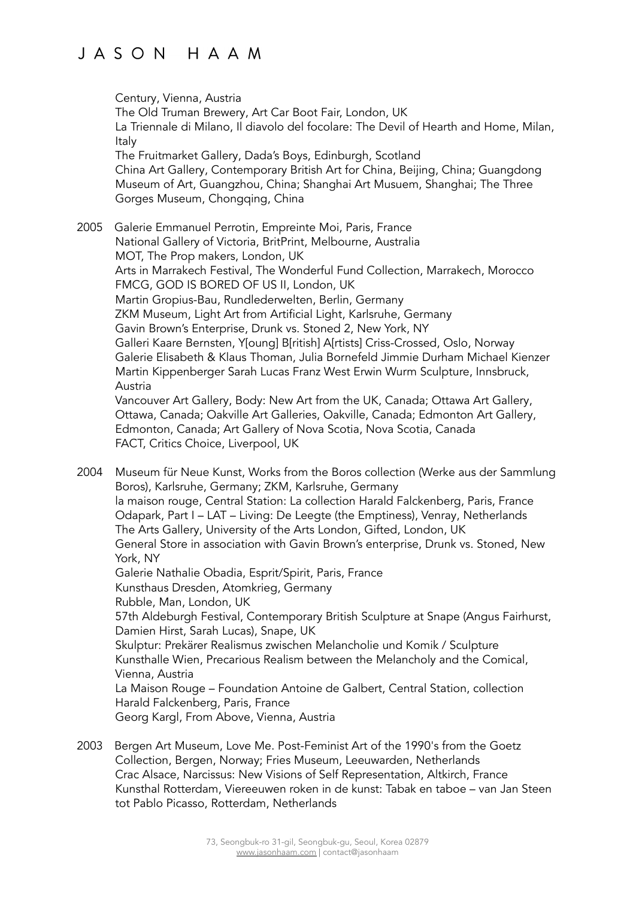Century, Vienna, Austria The Old Truman Brewery, Art Car Boot Fair, London, UK La Triennale di Milano, Il diavolo del focolare: The Devil of Hearth and Home, Milan, Italy The Fruitmarket Gallery, Dada's Boys, Edinburgh, Scotland China Art Gallery, Contemporary British Art for China, Beijing, China; Guangdong Museum of Art, Guangzhou, China; Shanghai Art Musuem, Shanghai; The Three Gorges Museum, Chongqing, China 2005 Galerie Emmanuel Perrotin, Empreinte Moi, Paris, France National Gallery of Victoria, BritPrint, Melbourne, Australia MOT, The Prop makers, London, UK Arts in Marrakech Festival, The Wonderful Fund Collection, Marrakech, Morocco FMCG, GOD IS BORED OF US II, London, UK Martin Gropius-Bau, Rundlederwelten, Berlin, Germany ZKM Museum, Light Art from Artificial Light, Karlsruhe, Germany Gavin Brown's Enterprise, Drunk vs. Stoned 2, New York, NY Galleri Kaare Bernsten, Y[oung] B[ritish] A[rtists] Criss-Crossed, Oslo, Norway Galerie Elisabeth & Klaus Thoman, Julia Bornefeld Jimmie Durham Michael Kienzer Martin Kippenberger Sarah Lucas Franz West Erwin Wurm Sculpture, Innsbruck, Austria Vancouver Art Gallery, Body: New Art from the UK, Canada; Ottawa Art Gallery, Ottawa, Canada; Oakville Art Galleries, Oakville, Canada; Edmonton Art Gallery, Edmonton, Canada; Art Gallery of Nova Scotia, Nova Scotia, Canada FACT, Critics Choice, Liverpool, UK 2004 Museum für Neue Kunst, Works from the Boros collection (Werke aus der Sammlung Boros), Karlsruhe, Germany; ZKM, Karlsruhe, Germany la maison rouge, Central Station: La collection Harald Falckenberg, Paris, France Odapark, Part I – LAT – Living: De Leegte (the Emptiness), Venray, Netherlands The Arts Gallery, University of the Arts London, Gifted, London, UK General Store in association with Gavin Brown's enterprise, Drunk vs. Stoned, New York, NY Galerie Nathalie Obadia, Esprit/Spirit, Paris, France

Kunsthaus Dresden, Atomkrieg, Germany Rubble, Man, London, UK 57th Aldeburgh Festival, Contemporary British Sculpture at Snape (Angus Fairhurst, Damien Hirst, Sarah Lucas), Snape, UK Skulptur: Prekärer Realismus zwischen Melancholie und Komik / Sculpture Kunsthalle Wien, Precarious Realism between the Melancholy and the Comical, Vienna, Austria La Maison Rouge – Foundation Antoine de Galbert, Central Station, collection Harald Falckenberg, Paris, France

Georg Kargl, From Above, Vienna, Austria

2003 Bergen Art Museum, Love Me. Post-Feminist Art of the 1990's from the Goetz Collection, Bergen, Norway; Fries Museum, Leeuwarden, Netherlands Crac Alsace, Narcissus: New Visions of Self Representation, Altkirch, France Kunsthal Rotterdam, Viereeuwen roken in de kunst: Tabak en taboe – van Jan Steen tot Pablo Picasso, Rotterdam, Netherlands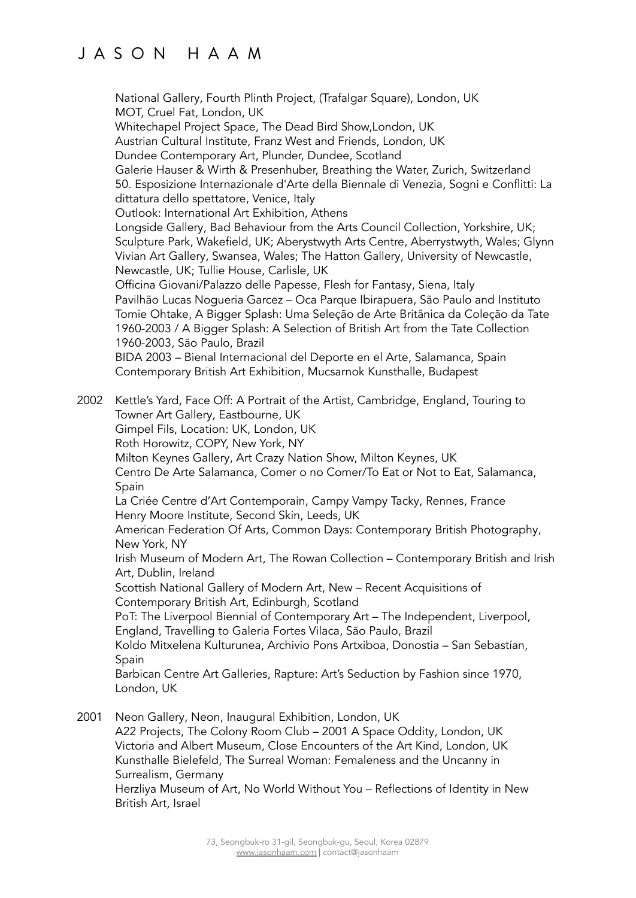National Gallery, Fourth Plinth Project, (Trafalgar Square), London, UK MOT, Cruel Fat, London, UK Whitechapel Project Space, The Dead Bird Show,London, UK Austrian Cultural Institute, Franz West and Friends, London, UK Dundee Contemporary Art, Plunder, Dundee, Scotland Galerie Hauser & Wirth & Presenhuber, Breathing the Water, Zurich, Switzerland 50. Esposizione Internazionale d'Arte della Biennale di Venezia, Sogni e Conflitti: La dittatura dello spettatore, Venice, Italy Outlook: International Art Exhibition, Athens Longside Gallery, Bad Behaviour from the Arts Council Collection, Yorkshire, UK; Sculpture Park, Wakefield, UK; Aberystwyth Arts Centre, Aberrystwyth, Wales; Glynn Vivian Art Gallery, Swansea, Wales; The Hatton Gallery, University of Newcastle, Newcastle, UK; Tullie House, Carlisle, UK Officina Giovani/Palazzo delle Papesse, Flesh for Fantasy, Siena, Italy Pavilhão Lucas Nogueria Garcez – Oca Parque Ibirapuera, São Paulo and Instituto Tomie Ohtake, A Bigger Splash: Uma Seleção de Arte Britânica da Coleção da Tate 1960-2003 / A Bigger Splash: A Selection of British Art from the Tate Collection 1960-2003, São Paulo, Brazil BIDA 2003 – Bienal Internacional del Deporte en el Arte, Salamanca, Spain Contemporary British Art Exhibition, Mucsarnok Kunsthalle, Budapest 2002 Kettle's Yard, Face Off: A Portrait of the Artist, Cambridge, England, Touring to Towner Art Gallery, Eastbourne, UK Gimpel Fils, Location: UK, London, UK Roth Horowitz, COPY, New York, NY Milton Keynes Gallery, Art Crazy Nation Show, Milton Keynes, UK Centro De Arte Salamanca, Comer o no Comer/To Eat or Not to Eat, Salamanca, Spain La Criée Centre d'Art Contemporain, Campy Vampy Tacky, Rennes, France Henry Moore Institute, Second Skin, Leeds, UK American Federation Of Arts, Common Days: Contemporary British Photography, New York, NY Irish Museum of Modern Art, The Rowan Collection – Contemporary British and Irish Art, Dublin, Ireland Scottish National Gallery of Modern Art, New – Recent Acquisitions of Contemporary British Art, Edinburgh, Scotland PoT: The Liverpool Biennial of Contemporary Art – The Independent, Liverpool, England, Travelling to Galeria Fortes Vilaca, São Paulo, Brazil Koldo Mitxelena Kulturunea, Archivio Pons Artxiboa, Donostia – San Sebastían, Spain Barbican Centre Art Galleries, Rapture: Art's Seduction by Fashion since 1970, London, UK 2001 Neon Gallery, Neon, Inaugural Exhibition, London, UK A22 Projects, The Colony Room Club – 2001 A Space Oddity, London, UK Victoria and Albert Museum, Close Encounters of the Art Kind, London, UK

Kunsthalle Bielefeld, The Surreal Woman: Femaleness and the Uncanny in Surrealism, Germany

Herzliya Museum of Art, No World Without You – Reflections of Identity in New British Art, Israel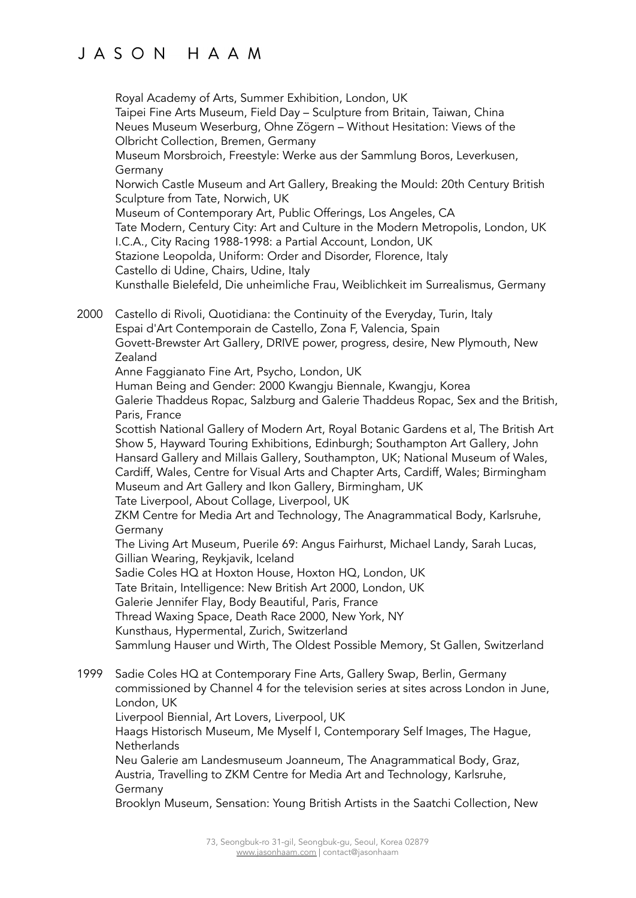Royal Academy of Arts, Summer Exhibition, London, UK Taipei Fine Arts Museum, Field Day – Sculpture from Britain, Taiwan, China Neues Museum Weserburg, Ohne Zögern – Without Hesitation: Views of the Olbricht Collection, Bremen, Germany Museum Morsbroich, Freestyle: Werke aus der Sammlung Boros, Leverkusen, Germany Norwich Castle Museum and Art Gallery, Breaking the Mould: 20th Century British Sculpture from Tate, Norwich, UK Museum of Contemporary Art, Public Offerings, Los Angeles, CA Tate Modern, Century City: Art and Culture in the Modern Metropolis, London, UK I.C.A., City Racing 1988-1998: a Partial Account, London, UK Stazione Leopolda, Uniform: Order and Disorder, Florence, Italy Castello di Udine, Chairs, Udine, Italy Kunsthalle Bielefeld, Die unheimliche Frau, Weiblichkeit im Surrealismus, Germany 2000 Castello di Rivoli, Quotidiana: the Continuity of the Everyday, Turin, Italy Espai d'Art Contemporain de Castello, Zona F, Valencia, Spain Govett-Brewster Art Gallery, DRIVE power, progress, desire, New Plymouth, New Zealand Anne Faggianato Fine Art, Psycho, London, UK Human Being and Gender: 2000 Kwangju Biennale, Kwangju, Korea Galerie Thaddeus Ropac, Salzburg and Galerie Thaddeus Ropac, Sex and the British, Paris, France Scottish National Gallery of Modern Art, Royal Botanic Gardens et al, The British Art Show 5, Hayward Touring Exhibitions, Edinburgh; Southampton Art Gallery, John Hansard Gallery and Millais Gallery, Southampton, UK; National Museum of Wales, Cardiff, Wales, Centre for Visual Arts and Chapter Arts, Cardiff, Wales; Birmingham Museum and Art Gallery and Ikon Gallery, Birmingham, UK Tate Liverpool, About Collage, Liverpool, UK ZKM Centre for Media Art and Technology, The Anagrammatical Body, Karlsruhe, Germany The Living Art Museum, Puerile 69: Angus Fairhurst, Michael Landy, Sarah Lucas, Gillian Wearing, Reykjavik, Iceland Sadie Coles HQ at Hoxton House, Hoxton HQ, London, UK Tate Britain, Intelligence: New British Art 2000, London, UK Galerie Jennifer Flay, Body Beautiful, Paris, France Thread Waxing Space, Death Race 2000, New York, NY Kunsthaus, Hypermental, Zurich, Switzerland Sammlung Hauser und Wirth, The Oldest Possible Memory, St Gallen, Switzerland 1999 Sadie Coles HQ at Contemporary Fine Arts, Gallery Swap, Berlin, Germany commissioned by Channel 4 for the television series at sites across London in June, London, UK Liverpool Biennial, Art Lovers, Liverpool, UK

Haags Historisch Museum, Me Myself I, Contemporary Self Images, The Hague, **Netherlands** 

Neu Galerie am Landesmuseum Joanneum, The Anagrammatical Body, Graz, Austria, Travelling to ZKM Centre for Media Art and Technology, Karlsruhe, Germany

Brooklyn Museum, Sensation: Young British Artists in the Saatchi Collection, New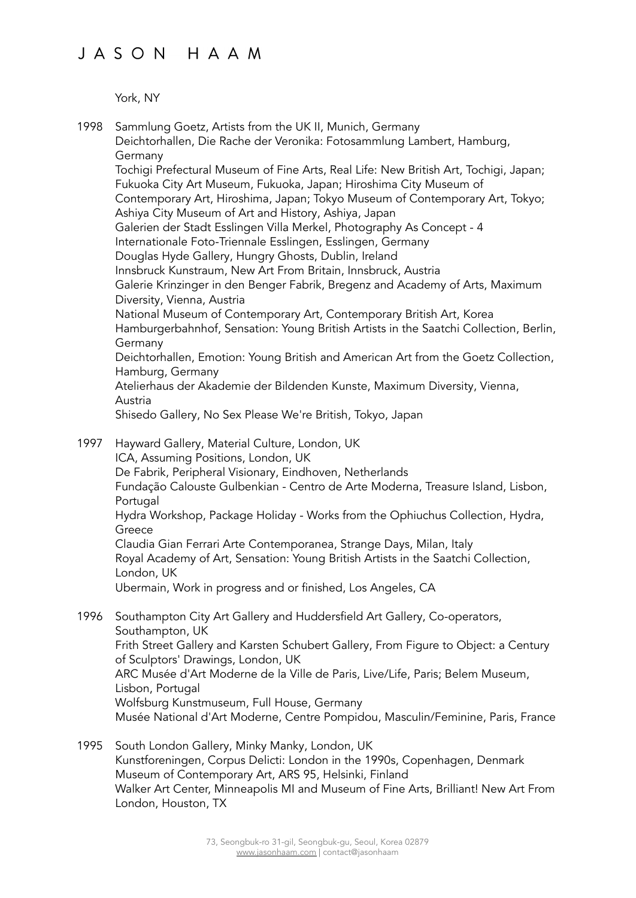York, NY

1998 Sammlung Goetz, Artists from the UK II, Munich, Germany Deichtorhallen, Die Rache der Veronika: Fotosammlung Lambert, Hamburg, Germany Tochigi Prefectural Museum of Fine Arts, Real Life: New British Art, Tochigi, Japan; Fukuoka City Art Museum, Fukuoka, Japan; Hiroshima City Museum of Contemporary Art, Hiroshima, Japan; Tokyo Museum of Contemporary Art, Tokyo; Ashiya City Museum of Art and History, Ashiya, Japan Galerien der Stadt Esslingen Villa Merkel, Photography As Concept - 4 Internationale Foto-Triennale Esslingen, Esslingen, Germany Douglas Hyde Gallery, Hungry Ghosts, Dublin, Ireland Innsbruck Kunstraum, New Art From Britain, Innsbruck, Austria Galerie Krinzinger in den Benger Fabrik, Bregenz and Academy of Arts, Maximum Diversity, Vienna, Austria National Museum of Contemporary Art, Contemporary British Art, Korea Hamburgerbahnhof, Sensation: Young British Artists in the Saatchi Collection, Berlin, Germany Deichtorhallen, Emotion: Young British and American Art from the Goetz Collection, Hamburg, Germany Atelierhaus der Akademie der Bildenden Kunste, Maximum Diversity, Vienna, Austria Shisedo Gallery, No Sex Please We're British, Tokyo, Japan 1997 Hayward Gallery, Material Culture, London, UK ICA, Assuming Positions, London, UK De Fabrik, Peripheral Visionary, Eindhoven, Netherlands Fundação Calouste Gulbenkian - Centro de Arte Moderna, Treasure Island, Lisbon, Portugal Hydra Workshop, Package Holiday - Works from the Ophiuchus Collection, Hydra, Greece Claudia Gian Ferrari Arte Contemporanea, Strange Days, Milan, Italy Royal Academy of Art, Sensation: Young British Artists in the Saatchi Collection, London, UK Ubermain, Work in progress and or finished, Los Angeles, CA 1996 Southampton City Art Gallery and Huddersfield Art Gallery, Co-operators, Southampton, UK Frith Street Gallery and Karsten Schubert Gallery, From Figure to Object: a Century of Sculptors' Drawings, London, UK ARC Musée d'Art Moderne de la Ville de Paris, Live/Life, Paris; Belem Museum, Lisbon, Portugal Wolfsburg Kunstmuseum, Full House, Germany Musée National d'Art Moderne, Centre Pompidou, Masculin/Feminine, Paris, France 1995 South London Gallery, Minky Manky, London, UK Kunstforeningen, Corpus Delicti: London in the 1990s, Copenhagen, Denmark

Museum of Contemporary Art, ARS 95, Helsinki, Finland Walker Art Center, Minneapolis MI and Museum of Fine Arts, Brilliant! New Art From London, Houston, TX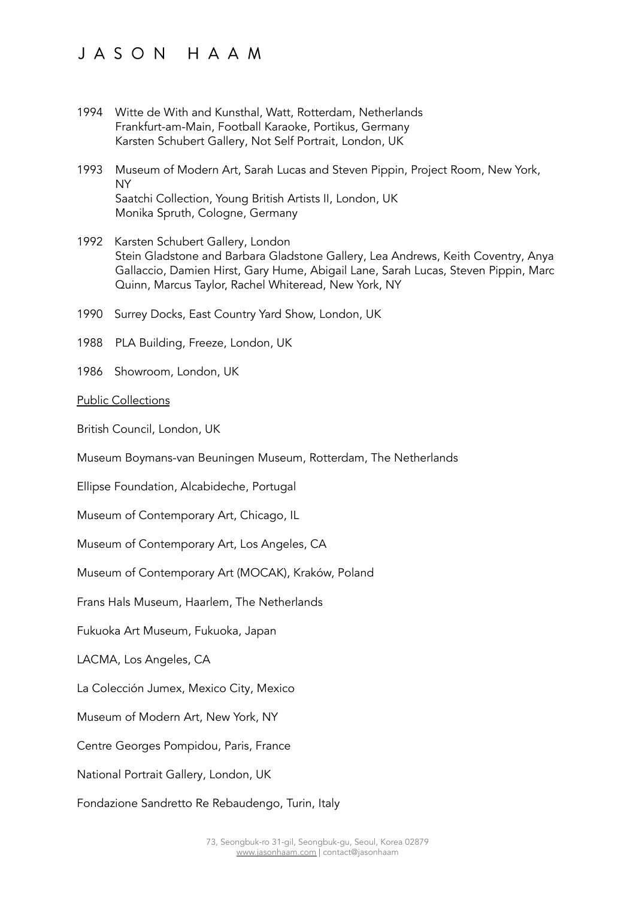- 1994 Witte de With and Kunsthal, Watt, Rotterdam, Netherlands Frankfurt-am-Main, Football Karaoke, Portikus, Germany Karsten Schubert Gallery, Not Self Portrait, London, UK
- 1993 Museum of Modern Art, Sarah Lucas and Steven Pippin, Project Room, New York, NY Saatchi Collection, Young British Artists II, London, UK Monika Spruth, Cologne, Germany
- 1992 Karsten Schubert Gallery, London Stein Gladstone and Barbara Gladstone Gallery, Lea Andrews, Keith Coventry, Anya Gallaccio, Damien Hirst, Gary Hume, Abigail Lane, Sarah Lucas, Steven Pippin, Marc Quinn, Marcus Taylor, Rachel Whiteread, New York, NY
- 1990 Surrey Docks, East Country Yard Show, London, UK
- 1988 PLA Building, Freeze, London, UK
- 1986 Showroom, London, UK
- Public Collections

British Council, London, UK

Museum Boymans-van Beuningen Museum, Rotterdam, The Netherlands

Ellipse Foundation, Alcabideche, Portugal

Museum of Contemporary Art, Chicago, IL

Museum of Contemporary Art, Los Angeles, CA

Museum of Contemporary Art (MOCAK), Kraków, Poland

Frans Hals Museum, Haarlem, The Netherlands

Fukuoka Art Museum, Fukuoka, Japan

LACMA, Los Angeles, CA

La Colección Jumex, Mexico City, Mexico

Museum of Modern Art, New York, NY

Centre Georges Pompidou, Paris, France

National Portrait Gallery, London, UK

Fondazione Sandretto Re Rebaudengo, Turin, Italy